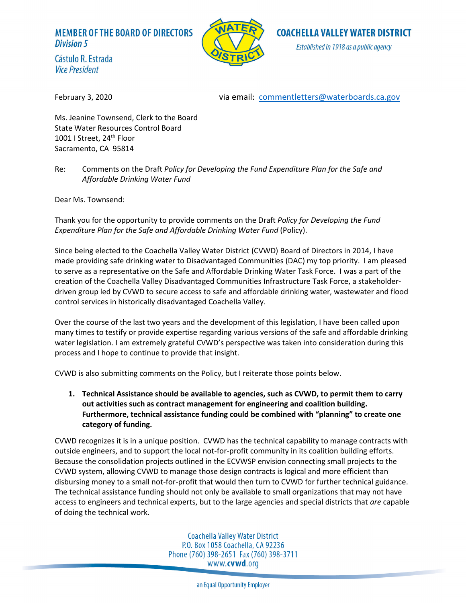# **MEMBER OF THE BOARD OF DIRECTORS Division 5**



**COACHELLA VALLEY WATER DISTRICT** Established in 1918 as a public agency

Cástulo R. Estrada **Vice President** 

February 3, 2020 via email: [commentletters@waterboards.ca.gov](mailto:commentletters@waterboards.ca.gov)

Ms. Jeanine Townsend, Clerk to the Board State Water Resources Control Board 1001 I Street, 24<sup>th</sup> Floor Sacramento, CA 95814

Re: Comments on the Draft *Policy for Developing the Fund Expenditure Plan for the Safe and Affordable Drinking Water Fund*

Dear Ms. Townsend:

Thank you for the opportunity to provide comments on the Draft *Policy for Developing the Fund Expenditure Plan for the Safe and Affordable Drinking Water Fund* (Policy).

Since being elected to the Coachella Valley Water District (CVWD) Board of Directors in 2014, I have made providing safe drinking water to Disadvantaged Communities (DAC) my top priority. I am pleased to serve as a representative on the Safe and Affordable Drinking Water Task Force. I was a part of the creation of the Coachella Valley Disadvantaged Communities Infrastructure Task Force, a stakeholderdriven group led by CVWD to secure access to safe and affordable drinking water, wastewater and flood control services in historically disadvantaged Coachella Valley.

Over the course of the last two years and the development of this legislation, I have been called upon many times to testify or provide expertise regarding various versions of the safe and affordable drinking water legislation. I am extremely grateful CVWD's perspective was taken into consideration during this process and I hope to continue to provide that insight.

CVWD is also submitting comments on the Policy, but I reiterate those points below.

**1. Technical Assistance should be available to agencies, such as CVWD, to permit them to carry out activities such as contract management for engineering and coalition building. Furthermore, technical assistance funding could be combined with "planning" to create one category of funding.** 

CVWD recognizes it is in a unique position. CVWD has the technical capability to manage contracts with outside engineers, and to support the local not-for-profit community in its coalition building efforts. Because the consolidation projects outlined in the ECVWSP envision connecting small projects to the CVWD system, allowing CVWD to manage those design contracts is logical and more efficient than disbursing money to a small not-for-profit that would then turn to CVWD for further technical guidance. The technical assistance funding should not only be available to small organizations that may not have access to engineers and technical experts, but to the large agencies and special districts that *are* capable of doing the technical work.

> Coachella Valley Water District P.O. Box 1058 Coachella, CA 92236 Phone (760) 398-2651 Fax (760) 398-3711 www.**cvwd**.org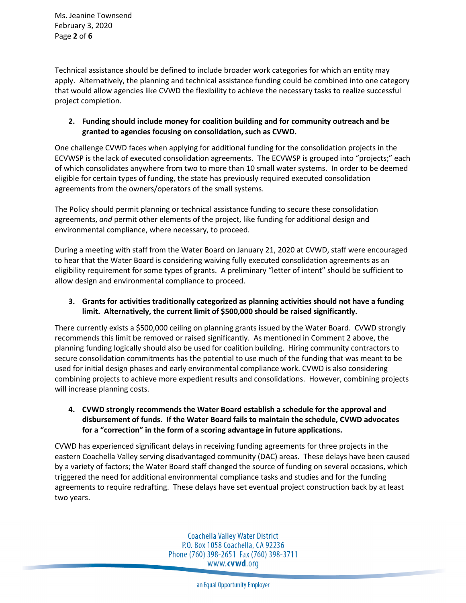Ms. Jeanine Townsend February 3, 2020 Page **2** of **6**

Technical assistance should be defined to include broader work categories for which an entity may apply. Alternatively, the planning and technical assistance funding could be combined into one category that would allow agencies like CVWD the flexibility to achieve the necessary tasks to realize successful project completion.

# **2. Funding should include money for coalition building and for community outreach and be granted to agencies focusing on consolidation, such as CVWD.**

One challenge CVWD faces when applying for additional funding for the consolidation projects in the ECVWSP is the lack of executed consolidation agreements. The ECVWSP is grouped into "projects;" each of which consolidates anywhere from two to more than 10 small water systems. In order to be deemed eligible for certain types of funding, the state has previously required executed consolidation agreements from the owners/operators of the small systems.

The Policy should permit planning or technical assistance funding to secure these consolidation agreements, *and* permit other elements of the project, like funding for additional design and environmental compliance, where necessary, to proceed.

During a meeting with staff from the Water Board on January 21, 2020 at CVWD, staff were encouraged to hear that the Water Board is considering waiving fully executed consolidation agreements as an eligibility requirement for some types of grants. A preliminary "letter of intent" should be sufficient to allow design and environmental compliance to proceed.

# **3. Grants for activities traditionally categorized as planning activities should not have a funding limit. Alternatively, the current limit of \$500,000 should be raised significantly.**

There currently exists a \$500,000 ceiling on planning grants issued by the Water Board. CVWD strongly recommends this limit be removed or raised significantly. As mentioned in Comment 2 above, the planning funding logically should also be used for coalition building. Hiring community contractors to secure consolidation commitments has the potential to use much of the funding that was meant to be used for initial design phases and early environmental compliance work. CVWD is also considering combining projects to achieve more expedient results and consolidations. However, combining projects will increase planning costs.

**4. CVWD strongly recommends the Water Board establish a schedule for the approval and disbursement of funds. If the Water Board fails to maintain the schedule, CVWD advocates for a "correction" in the form of a scoring advantage in future applications.** 

CVWD has experienced significant delays in receiving funding agreements for three projects in the eastern Coachella Valley serving disadvantaged community (DAC) areas. These delays have been caused by a variety of factors; the Water Board staff changed the source of funding on several occasions, which triggered the need for additional environmental compliance tasks and studies and for the funding agreements to require redrafting. These delays have set eventual project construction back by at least two years.

> Coachella Valley Water District P.O. Box 1058 Coachella, CA 92236 Phone (760) 398-2651 Fax (760) 398-3711 www.**cvwd**.org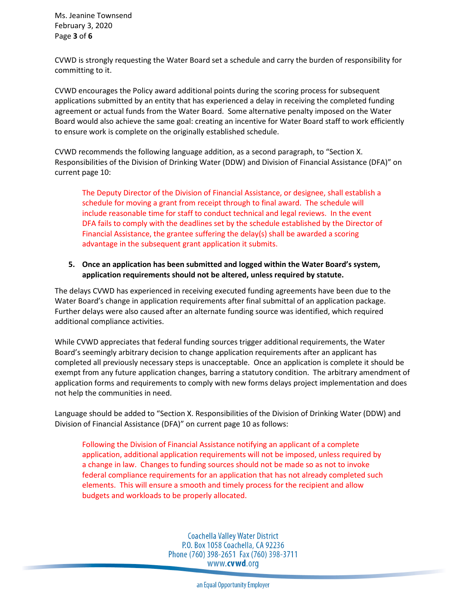Ms. Jeanine Townsend February 3, 2020 Page **3** of **6**

CVWD is strongly requesting the Water Board set a schedule and carry the burden of responsibility for committing to it.

CVWD encourages the Policy award additional points during the scoring process for subsequent applications submitted by an entity that has experienced a delay in receiving the completed funding agreement or actual funds from the Water Board. Some alternative penalty imposed on the Water Board would also achieve the same goal: creating an incentive for Water Board staff to work efficiently to ensure work is complete on the originally established schedule.

CVWD recommends the following language addition, as a second paragraph, to "Section X. Responsibilities of the Division of Drinking Water (DDW) and Division of Financial Assistance (DFA)" on current page 10:

The Deputy Director of the Division of Financial Assistance, or designee, shall establish a schedule for moving a grant from receipt through to final award. The schedule will include reasonable time for staff to conduct technical and legal reviews. In the event DFA fails to comply with the deadlines set by the schedule established by the Director of Financial Assistance, the grantee suffering the delay(s) shall be awarded a scoring advantage in the subsequent grant application it submits.

## **5. Once an application has been submitted and logged within the Water Board's system, application requirements should not be altered, unless required by statute.**

The delays CVWD has experienced in receiving executed funding agreements have been due to the Water Board's change in application requirements after final submittal of an application package. Further delays were also caused after an alternate funding source was identified, which required additional compliance activities.

While CVWD appreciates that federal funding sources trigger additional requirements, the Water Board's seemingly arbitrary decision to change application requirements after an applicant has completed all previously necessary steps is unacceptable. Once an application is complete it should be exempt from any future application changes, barring a statutory condition. The arbitrary amendment of application forms and requirements to comply with new forms delays project implementation and does not help the communities in need.

Language should be added to "Section X. Responsibilities of the Division of Drinking Water (DDW) and Division of Financial Assistance (DFA)" on current page 10 as follows:

Following the Division of Financial Assistance notifying an applicant of a complete application, additional application requirements will not be imposed, unless required by a change in law. Changes to funding sources should not be made so as not to invoke federal compliance requirements for an application that has not already completed such elements. This will ensure a smooth and timely process for the recipient and allow budgets and workloads to be properly allocated.

> **Coachella Valley Water District** P.O. Box 1058 Coachella, CA 92236 Phone (760) 398-2651 Fax (760) 398-3711 www.**cvwd**.org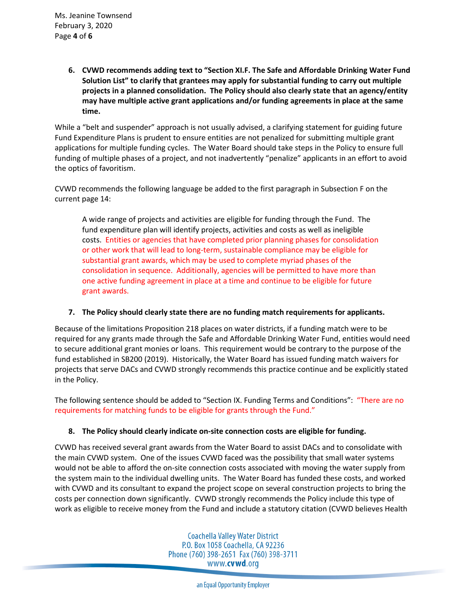**6. CVWD recommends adding text to "Section XI.F. The Safe and Affordable Drinking Water Fund Solution List" to clarify that grantees may apply for substantial funding to carry out multiple projects in a planned consolidation. The Policy should also clearly state that an agency/entity may have multiple active grant applications and/or funding agreements in place at the same time.** 

While a "belt and suspender" approach is not usually advised, a clarifying statement for guiding future Fund Expenditure Plans is prudent to ensure entities are not penalized for submitting multiple grant applications for multiple funding cycles. The Water Board should take steps in the Policy to ensure full funding of multiple phases of a project, and not inadvertently "penalize" applicants in an effort to avoid the optics of favoritism.

CVWD recommends the following language be added to the first paragraph in Subsection F on the current page 14:

A wide range of projects and activities are eligible for funding through the Fund. The fund expenditure plan will identify projects, activities and costs as well as ineligible costs. Entities or agencies that have completed prior planning phases for consolidation or other work that will lead to long-term, sustainable compliance may be eligible for substantial grant awards, which may be used to complete myriad phases of the consolidation in sequence. Additionally, agencies will be permitted to have more than one active funding agreement in place at a time and continue to be eligible for future grant awards.

#### **7. The Policy should clearly state there are no funding match requirements for applicants.**

Because of the limitations Proposition 218 places on water districts, if a funding match were to be required for any grants made through the Safe and Affordable Drinking Water Fund, entities would need to secure additional grant monies or loans. This requirement would be contrary to the purpose of the fund established in SB200 (2019). Historically, the Water Board has issued funding match waivers for projects that serve DACs and CVWD strongly recommends this practice continue and be explicitly stated in the Policy.

The following sentence should be added to "Section IX. Funding Terms and Conditions": "There are no requirements for matching funds to be eligible for grants through the Fund."

# **8. The Policy should clearly indicate on-site connection costs are eligible for funding.**

CVWD has received several grant awards from the Water Board to assist DACs and to consolidate with the main CVWD system. One of the issues CVWD faced was the possibility that small water systems would not be able to afford the on-site connection costs associated with moving the water supply from the system main to the individual dwelling units. The Water Board has funded these costs, and worked with CVWD and its consultant to expand the project scope on several construction projects to bring the costs per connection down significantly. CVWD strongly recommends the Policy include this type of work as eligible to receive money from the Fund and include a statutory citation (CVWD believes Health

> Coachella Valley Water District P.O. Box 1058 Coachella, CA 92236 Phone (760) 398-2651 Fax (760) 398-3711 www.**cvwd**.org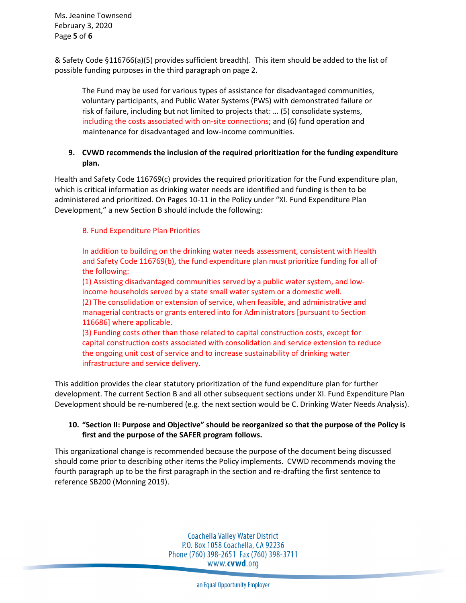Ms. Jeanine Townsend February 3, 2020 Page **5** of **6**

& Safety Code §116766(a)(5) provides sufficient breadth). This item should be added to the list of possible funding purposes in the third paragraph on page 2.

The Fund may be used for various types of assistance for disadvantaged communities, voluntary participants, and Public Water Systems (PWS) with demonstrated failure or risk of failure, including but not limited to projects that: … (5) consolidate systems, including the costs associated with on-site connections; and (6) fund operation and maintenance for disadvantaged and low-income communities.

# **9. CVWD recommends the inclusion of the required prioritization for the funding expenditure plan.**

Health and Safety Code 116769(c) provides the required prioritization for the Fund expenditure plan, which is critical information as drinking water needs are identified and funding is then to be administered and prioritized. On Pages 10-11 in the Policy under "XI. Fund Expenditure Plan Development," a new Section B should include the following:

## B. Fund Expenditure Plan Priorities

In addition to building on the drinking water needs assessment, consistent with Health and Safety Code 116769(b), the fund expenditure plan must prioritize funding for all of the following:

(1) Assisting disadvantaged communities served by a public water system, and lowincome households served by a state small water system or a domestic well. (2) The consolidation or extension of service, when feasible, and administrative and managerial contracts or grants entered into for Administrators [pursuant to Section 116686] where applicable.

(3) Funding costs other than those related to capital construction costs, except for capital construction costs associated with consolidation and service extension to reduce the ongoing unit cost of service and to increase sustainability of drinking water infrastructure and service delivery.

This addition provides the clear statutory prioritization of the fund expenditure plan for further development. The current Section B and all other subsequent sections under XI. Fund Expenditure Plan Development should be re-numbered (e.g. the next section would be C. Drinking Water Needs Analysis).

## **10. "Section II: Purpose and Objective" should be reorganized so that the purpose of the Policy is first and the purpose of the SAFER program follows.**

This organizational change is recommended because the purpose of the document being discussed should come prior to describing other items the Policy implements. CVWD recommends moving the fourth paragraph up to be the first paragraph in the section and re-drafting the first sentence to reference SB200 (Monning 2019).

> Coachella Valley Water District P.O. Box 1058 Coachella, CA 92236 Phone (760) 398-2651 Fax (760) 398-3711 www.**cvwd**.org